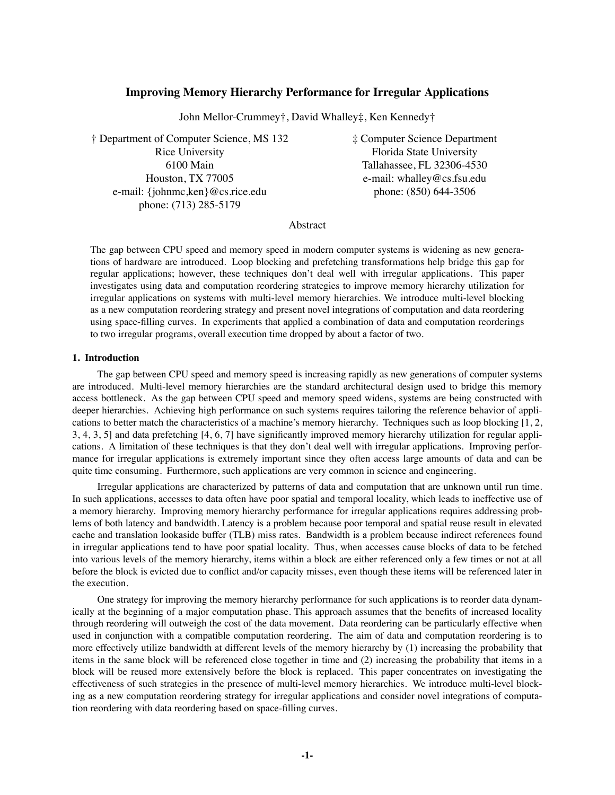# **Improving Memory Hierarchy Performance for Irregular Applications**

John Mellor-Crummey†, David Whalley‡, Ken Kennedy†

Rice University **Florida** State University Houston, TX 77005 e-mail: whalley @cs.fsu.edu e-mail: {johnmc,ken}@cs.rice.edu phone: (850) 644-3506 phone: (713) 285-5179

† Department of Computer Science, MS 132 ‡ Computer Science Department 6100 Main Tallahassee, FL 32306-4530

# Abstract

The gap between CPU speed and memory speed in modern computer systems is widening as new generations of hardware are introduced. Loop blocking and prefetching transformations help bridge this gap for regular applications; however, these techniques don't deal well with irregular applications. This paper investigates using data and computation reordering strategies to improve memory hierarchy utilization for irregular applications on systems with multi-level memory hierarchies. We introduce multi-level blocking as a new computation reordering strategy and present novel integrations of computation and data reordering using space-filling curves. In experiments that applied a combination of data and computation reorderings to two irregular programs, overall execution time dropped by about a factor of two.

# **1. Introduction**

The gap between CPU speed and memory speed is increasing rapidly as new generations of computer systems are introduced. Multi-level memory hierarchies are the standard architectural design used to bridge this memory access bottleneck. As the gap between CPU speed and memory speed widens, systems are being constructed with deeper hierarchies. Achieving high performance on such systems requires tailoring the reference behavior of applications to better match the characteristics of a machine's memory hierarchy. Techniques such as loop blocking [1, 2, 3, 4, 3, 5] and data prefetching [4, 6, 7] have significantly improved memory hierarchy utilization for regular applications. A limitation of these techniques is that they don't deal well with irregular applications. Improving performance for irregular applications is extremely important since they often access large amounts of data and can be quite time consuming. Furthermore, such applications are very common in science and engineering.

Irregular applications are characterized by patterns of data and computation that are unknown until run time. In such applications, accesses to data often have poor spatial and temporal locality, which leads to ineffective use of a memory hierarchy. Improving memory hierarchy performance for irregular applications requires addressing problems of both latency and bandwidth. Latency is a problem because poor temporal and spatial reuse result in elevated cache and translation lookaside buffer (TLB) miss rates. Bandwidth is a problem because indirect references found in irregular applications tend to have poor spatial locality. Thus, when accesses cause blocks of data to be fetched into various levels of the memory hierarchy, items within a block are either referenced only a few times or not at all before the block is evicted due to conflict and/or capacity misses, even though these items will be referenced later in the execution.

One strategy for improving the memory hierarchy performance for such applications is to reorder data dynamically at the beginning of a major computation phase. This approach assumes that the benefits of increased locality through reordering will outweigh the cost of the data movement. Data reordering can be particularly effective when used in conjunction with a compatible computation reordering. The aim of data and computation reordering is to more effectively utilize bandwidth at different levels of the memory hierarchy by (1) increasing the probability that items in the same block will be referenced close together in time and (2) increasing the probability that items in a block will be reused more extensively before the block is replaced. This paper concentrates on investigating the effectiveness of such strategies in the presence of multi-level memory hierarchies. We introduce multi-level blocking as a new computation reordering strategy for irregular applications and consider novel integrations of computation reordering with data reordering based on space-filling curves.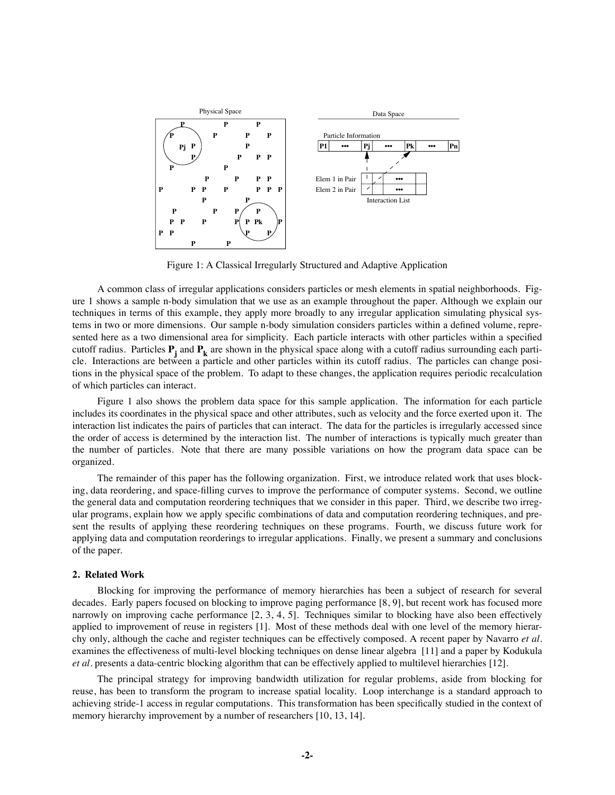

Figure 1: A Classical Irregularly Structured and Adaptive Application

A common class of irregular applications considers particles or mesh elements in spatial neighborhoods. Figure 1 shows a sample n-body simulation that we use as an example throughout the paper. Although we explain our techniques in terms of this example, they apply more broadly to any irregular application simulating physical systems in two or more dimensions. Our sample n-body simulation considers particles within a defined volume, represented here as a two dimensional area for simplicity. Each particle interacts with other particles within a specified cutoff radius. Particles  $P_i$  and  $P_k$  are shown in the physical space along with a cutoff radius surrounding each particle. Interactions are between a particle and other particles within its cutoff radius. The particles can change positions in the physical space of the problem. To adapt to these changes, the application requires periodic recalculation of which particles can interact.

Figure 1 also shows the problem data space for this sample application. The information for each particle includes its coordinates in the physical space and other attributes, such as velocity and the force exerted upon it. The interaction list indicates the pairs of particles that can interact. The data for the particles is irregularly accessed since the order of access is determined by the interaction list. The number of interactions is typically much greater than the number of particles. Note that there are many possible variations on how the program data space can be organized.

The remainder of this paper has the following organization. First, we introduce related work that uses blocking, data reordering, and space-filling curves to improve the performance of computer systems. Second, we outline the general data and computation reordering techniques that we consider in this paper. Third, we describe two irregular programs, explain how we apply specific combinations of data and computation reordering techniques, and present the results of applying these reordering techniques on these programs. Fourth, we discuss future work for applying data and computation reorderings to irregular applications. Finally, we present a summary and conclusions of the paper.

### **2. Related Work**

Blocking for improving the performance of memory hierarchies has been a subject of research for several decades. Early papers focused on blocking to improve paging performance [8, 9], but recent work has focused more narrowly on improving cache performance [2, 3, 4, 5]. Techniques similar to blocking have also been effectively applied to improvement of reuse in registers [1]. Most of these methods deal with one level of the memory hierarchy only, although the cache and register techniques can be effectively composed. A recent paper by Navarro *et al.* examines the effectiveness of multi-level blocking techniques on dense linear algebra [11] and a paper by Kodukula *et al.* presents a data-centric blocking algorithm that can be effectively applied to multilevel hierarchies [12].

The principal strategy for improving bandwidth utilization for regular problems, aside from blocking for reuse, has been to transform the program to increase spatial locality. Loop interchange is a standard approach to achieving stride-1 access in regular computations. This transformation has been specifically studied in the context of memory hierarchy improvement by a number of researchers [10, 13, 14].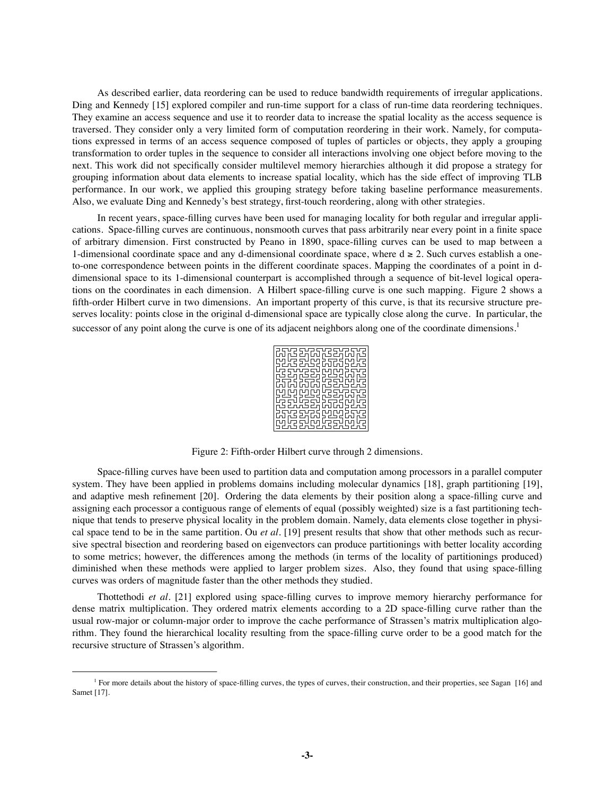As described earlier, data reordering can be used to reduce bandwidth requirements of irregular applications. Ding and Kennedy [15] explored compiler and run-time support for a class of run-time data reordering techniques. They examine an access sequence and use it to reorder data to increase the spatial locality as the access sequence is traversed. They consider only a very limited form of computation reordering in their work. Namely, for computations expressed in terms of an access sequence composed of tuples of particles or objects, they apply a grouping transformation to order tuples in the sequence to consider all interactions involving one object before moving to the next. This work did not specifically consider multilevel memory hierarchies although it did propose a strategy for grouping information about data elements to increase spatial locality, which has the side effect of improving TLB performance. In our work, we applied this grouping strategy before taking baseline performance measurements. Also, we evaluate Ding and Kennedy's best strategy, first-touch reordering, along with other strategies.

In recent years, space-filling curves have been used for managing locality for both regular and irregular applications. Space-filling curves are continuous, nonsmooth curves that pass arbitrarily near every point in a finite space of arbitrary dimension. First constructed by Peano in 1890, space-filling curves can be used to map between a 1-dimensional coordinate space and any d-dimensional coordinate space, where  $d \ge 2$ . Such curves establish a oneto-one correspondence between points in the different coordinate spaces. Mapping the coordinates of a point in ddimensional space to its 1-dimensional counterpart is accomplished through a sequence of bit-level logical operations on the coordinates in each dimension. A Hilbert space-filling curve is one such mapping. Figure 2 shows a fifth-order Hilbert curve in two dimensions. An important property of this curve, is that its recursive structure preserves locality: points close in the original d-dimensional space are typically close along the curve. In particular, the successor of any point along the curve is one of its adjacent neighbors along one of the coordinate dimensions.<sup>1</sup>



Figure 2: Fifth-order Hilbert curve through 2 dimensions.

Space-filling curves have been used to partition data and computation among processors in a parallel computer system. They have been applied in problems domains including molecular dynamics [18], graph partitioning [19], and adaptive mesh refinement [20]. Ordering the data elements by their position along a space-filling curve and assigning each processor a contiguous range of elements of equal (possibly weighted) size is a fast partitioning technique that tends to preserve physical locality in the problem domain. Namely, data elements close together in physical space tend to be in the same partition. Ou *et al.* [19] present results that show that other methods such as recursive spectral bisection and reordering based on eigenvectors can produce partitionings with better locality according to some metrics; however, the differences among the methods (in terms of the locality of partitionings produced) diminished when these methods were applied to larger problem sizes. Also, they found that using space-filling curves was orders of magnitude faster than the other methods they studied.

Thottethodi *et al.* [21] explored using space-filling curves to improve memory hierarchy performance for dense matrix multiplication. They ordered matrix elements according to a 2D space-filling curve rather than the usual row-major or column-major order to improve the cache performance of Strassen's matrix multiplication algorithm. They found the hierarchical locality resulting from the space-filling curve order to be a good match for the recursive structure of Strassen's algorithm.

<sup>&</sup>lt;sup>1</sup> For more details about the history of space-filling curves, the types of curves, their construction, and their properties, see Sagan [16] and Samet [17].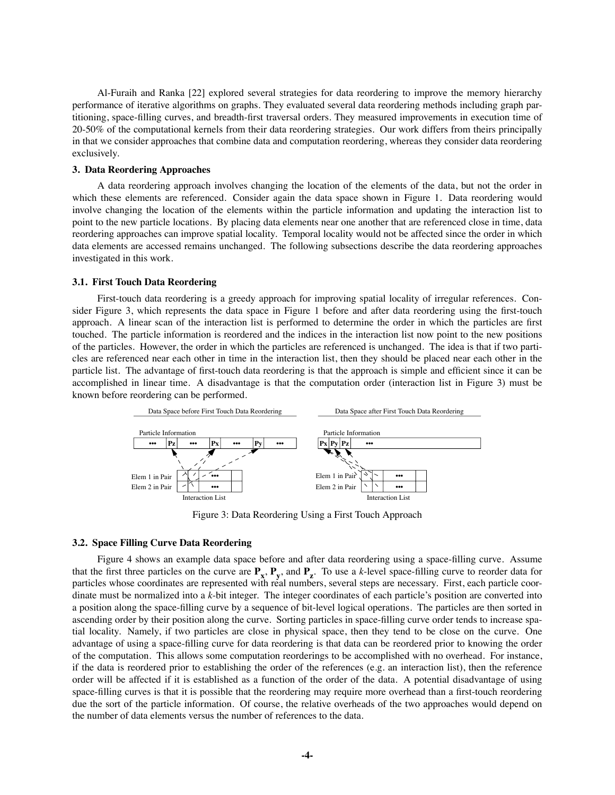Al-Furaih and Ranka [22] explored several strategies for data reordering to improve the memory hierarchy performance of iterative algorithms on graphs. They evaluated several data reordering methods including graph partitioning, space-filling curves, and breadth-first traversal orders. They measured improvements in execution time of 20-50% of the computational kernels from their data reordering strategies. Our work differs from theirs principally in that we consider approaches that combine data and computation reordering, whereas they consider data reordering exclusively.

### **3. Data Reordering Approaches**

A data reordering approach involves changing the location of the elements of the data, but not the order in which these elements are referenced. Consider again the data space shown in Figure 1. Data reordering would involve changing the location of the elements within the particle information and updating the interaction list to point to the new particle locations. By placing data elements near one another that are referenced close in time, data reordering approaches can improve spatial locality. Temporal locality would not be affected since the order in which data elements are accessed remains unchanged. The following subsections describe the data reordering approaches investigated in this work.

#### **3.1. First Touch Data Reordering**

First-touch data reordering is a greedy approach for improving spatial locality of irregular references. Consider Figure 3, which represents the data space in Figure 1 before and after data reordering using the first-touch approach. A linear scan of the interaction list is performed to determine the order in which the particles are first touched. The particle information is reordered and the indices in the interaction list now point to the new positions of the particles. However, the order in which the particles are referenced is unchanged. The idea is that if two particles are referenced near each other in time in the interaction list, then they should be placed near each other in the particle list. The advantage of first-touch data reordering is that the approach is simple and efficient since it can be accomplished in linear time. A disadvantage is that the computation order (interaction list in Figure 3) must be known before reordering can be performed.



Figure 3: Data Reordering Using a First Touch Approach

#### **3.2. Space Filling Curve Data Reordering**

Figure 4 shows an example data space before and after data reordering using a space-filling curve. Assume that the first three particles on the curve are  $P_x$ ,  $P_y$ , and  $P_z$ . To use a *k*-level space-filling curve to reorder data for particles whose coordinates are represented with real numbers, several steps are necessary. First, each particle coordinate must be normalized into a *k*-bit integer. The integer coordinates of each particle's position are converted into a position along the space-filling curve by a sequence of bit-level logical operations. The particles are then sorted in ascending order by their position along the curve. Sorting particles in space-filling curve order tends to increase spatial locality. Namely, if two particles are close in physical space, then they tend to be close on the curve. One advantage of using a space-filling curve for data reordering is that data can be reordered prior to knowing the order of the computation. This allows some computation reorderings to be accomplished with no overhead. For instance, if the data is reordered prior to establishing the order of the references (e.g. an interaction list), then the reference order will be affected if it is established as a function of the order of the data. A potential disadvantage of using space-filling curves is that it is possible that the reordering may require more overhead than a first-touch reordering due the sort of the particle information. Of course, the relative overheads of the two approaches would depend on the number of data elements versus the number of references to the data.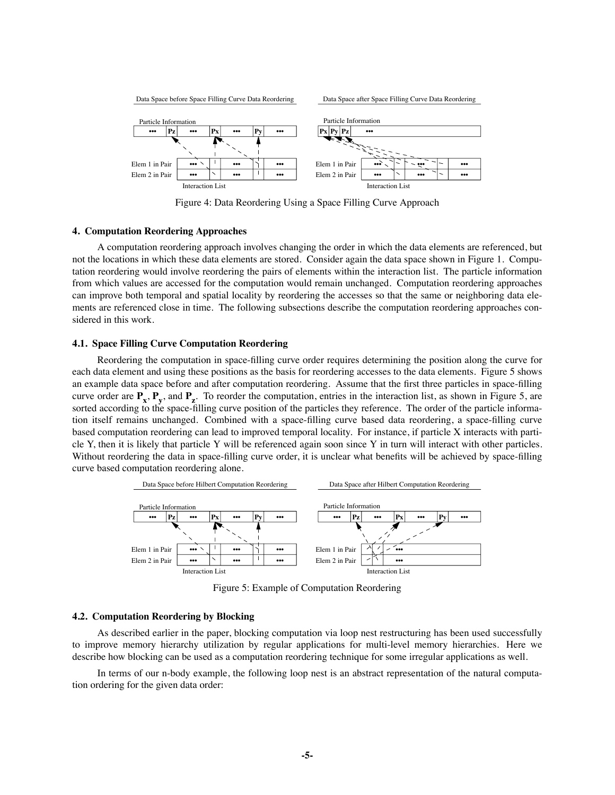

Figure 4: Data Reordering Using a Space Filling Curve Approach

#### **4. Computation Reordering Approaches**

A computation reordering approach involves changing the order in which the data elements are referenced, but not the locations in which these data elements are stored. Consider again the data space shown in Figure 1. Computation reordering would involve reordering the pairs of elements within the interaction list. The particle information from which values are accessed for the computation would remain unchanged. Computation reordering approaches can improve both temporal and spatial locality by reordering the accesses so that the same or neighboring data elements are referenced close in time. The following subsections describe the computation reordering approaches considered in this work.

#### **4.1. Space Filling Curve Computation Reordering**

Reordering the computation in space-filling curve order requires determining the position along the curve for each data element and using these positions as the basis for reordering accesses to the data elements. Figure 5 shows an example data space before and after computation reordering. Assume that the first three particles in space-filling curve order are  $\mathbf{P}_x$ ,  $\mathbf{P}_y$ , and  $\mathbf{P}_z$ . To reorder the computation, entries in the interaction list, as shown in Figure 5, are sorted according to the space-filling curve position of the particles they reference. The order of the particle information itself remains unchanged. Combined with a space-filling curve based data reordering, a space-filling curve based computation reordering can lead to improved temporal locality. For instance, if particle X interacts with particle Y, then it is likely that particle Y will be referenced again soon since Y in turn will interact with other particles. Without reordering the data in space-filling curve order, it is unclear what benefits will be achieved by space-filling curve based computation reordering alone.



Figure 5: Example of Computation Reordering

#### **4.2. Computation Reordering by Blocking**

As described earlier in the paper, blocking computation via loop nest restructuring has been used successfully to improve memory hierarchy utilization by regular applications for multi-level memory hierarchies. Here we describe how blocking can be used as a computation reordering technique for some irregular applications as well.

In terms of our n-body example, the following loop nest is an abstract representation of the natural computation ordering for the given data order: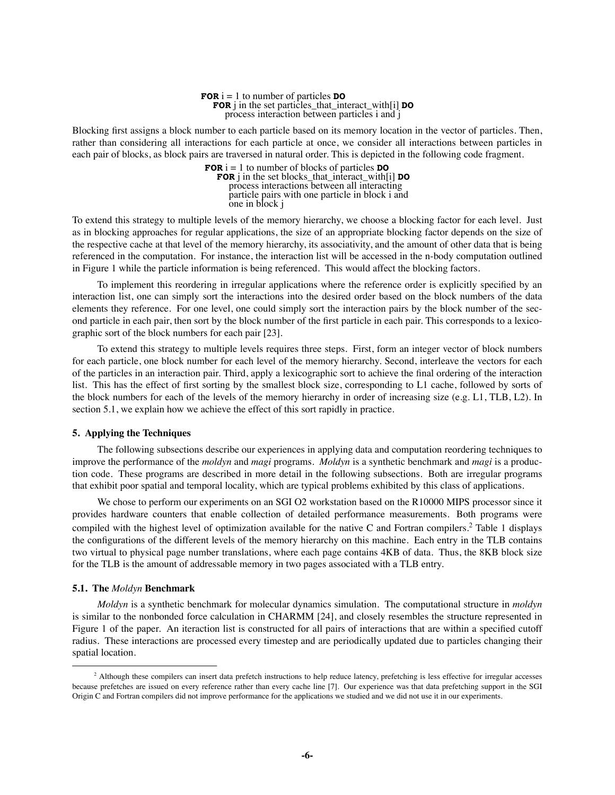**FOR**  $i = 1$  to number of particles **DO FOR** j in the set particles\_that\_interact\_with[i] **DO** process interaction between particles i and j

Blocking first assigns a block number to each particle based on its memory location in the vector of particles. Then, rather than considering all interactions for each particle at once, we consider all interactions between particles in each pair of blocks, as block pairs are traversed in natural order. This is depicted in the following code fragment.

> **FOR**  $i = 1$  to number of blocks of particles **DO FOR** j in the set blocks\_that\_interact\_with[i] **DO** process interactions between all interacting particle pairs with one particle in block i and one in block j

To extend this strategy to multiple levels of the memory hierarchy, we choose a blocking factor for each level. Just as in blocking approaches for regular applications, the size of an appropriate blocking factor depends on the size of the respective cache at that level of the memory hierarchy, its associativity, and the amount of other data that is being referenced in the computation. For instance, the interaction list will be accessed in the n-body computation outlined in Figure 1 while the particle information is being referenced. This would affect the blocking factors.

To implement this reordering in irregular applications where the reference order is explicitly specified by an interaction list, one can simply sort the interactions into the desired order based on the block numbers of the data elements they reference. For one level, one could simply sort the interaction pairs by the block number of the second particle in each pair, then sort by the block number of the first particle in each pair. This corresponds to a lexicographic sort of the block numbers for each pair [23].

To extend this strategy to multiple levels requires three steps. First, form an integer vector of block numbers for each particle, one block number for each level of the memory hierarchy. Second, interleave the vectors for each of the particles in an interaction pair. Third, apply a lexicographic sort to achieve the final ordering of the interaction list. This has the effect of first sorting by the smallest block size, corresponding to L1 cache, followed by sorts of the block numbers for each of the levels of the memory hierarchy in order of increasing size (e.g. L1, TLB, L2). In section 5.1, we explain how we achieve the effect of this sort rapidly in practice.

#### **5. Applying the Techniques**

The following subsections describe our experiences in applying data and computation reordering techniques to improve the performance of the *moldyn* and *magi* programs. *Moldyn* is a synthetic benchmark and *magi* is a production code. These programs are described in more detail in the following subsections. Both are irregular programs that exhibit poor spatial and temporal locality, which are typical problems exhibited by this class of applications.

We chose to perform our experiments on an SGI O2 workstation based on the R10000 MIPS processor since it provides hardware counters that enable collection of detailed performance measurements. Both programs were compiled with the highest level of optimization available for the native C and Fortran compilers.<sup>2</sup> Table 1 displays the configurations of the different levels of the memory hierarchy on this machine. Each entry in the TLB contains two virtual to physical page number translations, where each page contains 4KB of data. Thus, the 8KB block size for the TLB is the amount of addressable memory in two pages associated with a TLB entry.

#### **5.1. The** *Moldyn* **Benchmark**

*Moldyn* is a synthetic benchmark for molecular dynamics simulation. The computational structure in *moldyn* is similar to the nonbonded force calculation in CHARMM [24], and closely resembles the structure represented in Figure 1 of the paper. An iteraction list is constructed for all pairs of interactions that are within a specified cutoff radius. These interactions are processed every timestep and are periodically updated due to particles changing their spatial location.

 $<sup>2</sup>$  Although these compilers can insert data prefetch instructions to help reduce latency, prefetching is less effective for irregular accesses</sup> because prefetches are issued on every reference rather than every cache line [7]. Our experience was that data prefetching support in the SGI Origin C and Fortran compilers did not improve performance for the applications we studied and we did not use it in our experiments.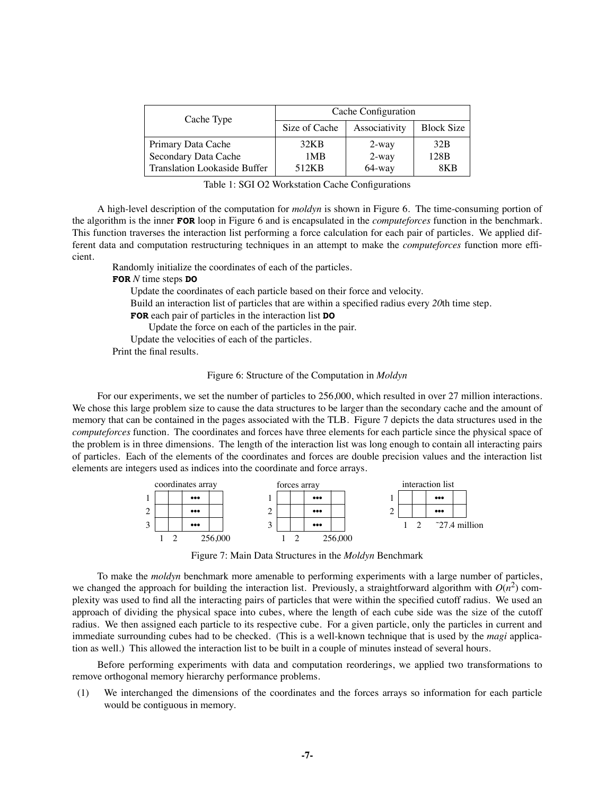| Cache Type                   | Cache Configuration |               |                   |  |
|------------------------------|---------------------|---------------|-------------------|--|
|                              | Size of Cache       | Associativity | <b>Block Size</b> |  |
| Primary Data Cache           | 32KB                | $2$ -way      | 32 <sub>B</sub>   |  |
| Secondary Data Cache         | 1MB                 | $2$ -way      | 128 <sub>B</sub>  |  |
| Translation Lookaside Buffer | 512KB               | $64$ -way     | 8K B              |  |

| Table 1: SGI O2 Workstation Cache Configurations |  |  |
|--------------------------------------------------|--|--|
|--------------------------------------------------|--|--|

A high-level description of the computation for *moldyn* is shown in Figure 6. The time-consuming portion of the algorithm is the inner **FOR** loop in Figure 6 and is encapsulated in the *computeforces* function in the benchmark. This function traverses the interaction list performing a force calculation for each pair of particles. We applied different data and computation restructuring techniques in an attempt to make the *computeforces* function more efficient.

Randomly initialize the coordinates of each of the particles.

**FOR** *N* time steps **DO**

Update the coordinates of each particle based on their force and velocity.

Build an interaction list of particles that are within a specified radius every *20*th time step.

**FOR** each pair of particles in the interaction list **DO**

Update the force on each of the particles in the pair.

Update the velocities of each of the particles.

Print the final results.

#### Figure 6: Structure of the Computation in *Moldyn*

For our experiments, we set the number of particles to 256,000, which resulted in over 27 million interactions. We chose this large problem size to cause the data structures to be larger than the secondary cache and the amount of memory that can be contained in the pages associated with the TLB. Figure 7 depicts the data structures used in the *computeforces* function. The coordinates and forces have three elements for each particle since the physical space of the problem is in three dimensions. The length of the interaction list was long enough to contain all interacting pairs of particles. Each of the elements of the coordinates and forces are double precision values and the interaction list elements are integers used as indices into the coordinate and force arrays.



Figure 7: Main Data Structures in the *Moldyn* Benchmark

To make the *moldyn* benchmark more amenable to performing experiments with a large number of particles, we changed the approach for building the interaction list. Previously, a straightforward algorithm with  $O(n^2)$  complexity was used to find all the interacting pairs of particles that were within the specified cutoff radius. We used an approach of dividing the physical space into cubes, where the length of each cube side was the size of the cutoff radius. We then assigned each particle to its respective cube. For a given particle, only the particles in current and immediate surrounding cubes had to be checked. (This is a well-known technique that is used by the *magi* application as well.) This allowed the interaction list to be built in a couple of minutes instead of several hours.

Before performing experiments with data and computation reorderings, we applied two transformations to remove orthogonal memory hierarchy performance problems.

(1) We interchanged the dimensions of the coordinates and the forces arrays so information for each particle would be contiguous in memory.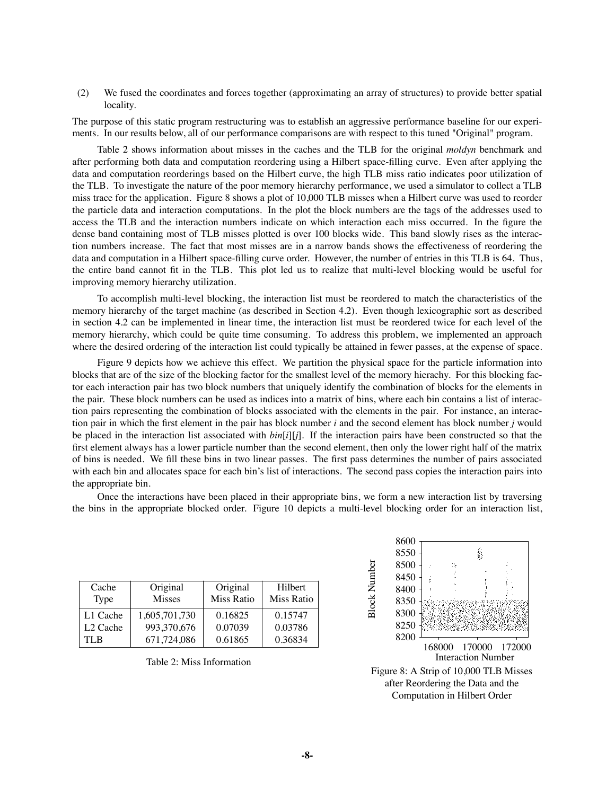(2) We fused the coordinates and forces together (approximating an array of structures) to provide better spatial locality.

The purpose of this static program restructuring was to establish an aggressive performance baseline for our experiments. In our results below, all of our performance comparisons are with respect to this tuned "Original" program.

Table 2 shows information about misses in the caches and the TLB for the original *moldyn* benchmark and after performing both data and computation reordering using a Hilbert space-filling curve. Even after applying the data and computation reorderings based on the Hilbert curve, the high TLB miss ratio indicates poor utilization of the TLB. To investigate the nature of the poor memory hierarchy performance, we used a simulator to collect a TLB miss trace for the application. Figure 8 shows a plot of 10,000 TLB misses when a Hilbert curve was used to reorder the particle data and interaction computations. In the plot the block numbers are the tags of the addresses used to access the TLB and the interaction numbers indicate on which interaction each miss occurred. In the figure the dense band containing most of TLB misses plotted is over 100 blocks wide. This band slowly rises as the interaction numbers increase. The fact that most misses are in a narrow bands shows the effectiveness of reordering the data and computation in a Hilbert space-filling curve order. However, the number of entries in this TLB is 64. Thus, the entire band cannot fit in the TLB. This plot led us to realize that multi-level blocking would be useful for improving memory hierarchy utilization.

To accomplish multi-level blocking, the interaction list must be reordered to match the characteristics of the memory hierarchy of the target machine (as described in Section 4.2). Even though lexicographic sort as described in section 4.2 can be implemented in linear time, the interaction list must be reordered twice for each level of the memory hierarchy, which could be quite time consuming. To address this problem, we implemented an approach where the desired ordering of the interaction list could typically be attained in fewer passes, at the expense of space.

Figure 9 depicts how we achieve this effect. We partition the physical space for the particle information into blocks that are of the size of the blocking factor for the smallest level of the memory hierachy. For this blocking factor each interaction pair has two block numbers that uniquely identify the combination of blocks for the elements in the pair. These block numbers can be used as indices into a matrix of bins, where each bin contains a list of interaction pairs representing the combination of blocks associated with the elements in the pair. For instance, an interaction pair in which the first element in the pair has block number *i* and the second element has block number *j* would be placed in the interaction list associated with  $bin[i][j]$ . If the interaction pairs have been constructed so that the first element always has a lower particle number than the second element, then only the lower right half of the matrix of bins is needed. We fill these bins in two linear passes. The first pass determines the number of pairs associated with each bin and allocates space for each bin's list of interactions. The second pass copies the interaction pairs into the appropriate bin.

Once the interactions have been placed in their appropriate bins, we form a new interaction list by traversing the bins in the appropriate blocked order. Figure 10 depicts a multi-level blocking order for an interaction list,

| Cache<br>Type        | Original<br><b>Misses</b> | Original<br><b>Miss Ratio</b> | Hilbert<br>Miss Ratio |
|----------------------|---------------------------|-------------------------------|-----------------------|
| L1 Cache             | 1,605,701,730             | 0.16825                       | 0.15747               |
| L <sub>2</sub> Cache | 993,370,676               | 0.07039                       | 0.03786               |
| TI R                 | 671,724,086               | 0.61865                       | 0.36834               |

Table 2: Miss Information



Interaction Number Figure 8: A Strip of 10,000 TLB Misses after Reordering the Data and the Computation in Hilbert Order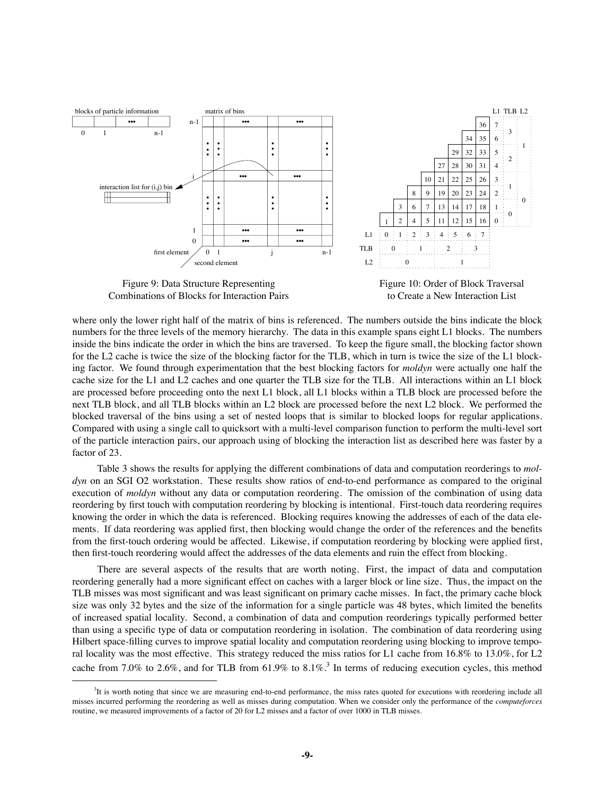

Figure 9: Data Structure Representing Combinations of Blocks for Interaction Pairs



Figure 10: Order of Block Traversal to Create a New Interaction List

where only the lower right half of the matrix of bins is referenced. The numbers outside the bins indicate the block numbers for the three levels of the memory hierarchy. The data in this example spans eight L1 blocks. The numbers inside the bins indicate the order in which the bins are traversed. To keep the figure small, the blocking factor shown for the L2 cache is twice the size of the blocking factor for the TLB, which in turn is twice the size of the L1 blocking factor. We found through experimentation that the best blocking factors for *moldyn* were actually one half the cache size for the L1 and L2 caches and one quarter the TLB size for the TLB. All interactions within an L1 block are processed before proceeding onto the next L1 block, all L1 blocks within a TLB block are processed before the next TLB block, and all TLB blocks within an L2 block are processed before the next L2 block. We performed the blocked traversal of the bins using a set of nested loops that is similar to blocked loops for regular applications. Compared with using a single call to quicksort with a multi-level comparison function to perform the multi-level sort of the particle interaction pairs, our approach using of blocking the interaction list as described here was faster by a factor of 23.

Table 3 shows the results for applying the different combinations of data and computation reorderings to *moldyn* on an SGI O2 workstation. These results show ratios of end-to-end performance as compared to the original execution of *moldyn* without any data or computation reordering. The omission of the combination of using data reordering by first touch with computation reordering by blocking is intentional. First-touch data reordering requires knowing the order in which the data is referenced. Blocking requires knowing the addresses of each of the data elements. If data reordering was applied first, then blocking would change the order of the references and the benefits from the first-touch ordering would be affected. Likewise, if computation reordering by blocking were applied first, then first-touch reordering would affect the addresses of the data elements and ruin the effect from blocking.

There are several aspects of the results that are worth noting. First, the impact of data and computation reordering generally had a more significant effect on caches with a larger block or line size. Thus, the impact on the TLB misses was most significant and was least significant on primary cache misses. In fact, the primary cache block size was only 32 bytes and the size of the information for a single particle was 48 bytes, which limited the benefits of increased spatial locality. Second, a combination of data and compution reorderings typically performed better than using a specific type of data or computation reordering in isolation. The combination of data reordering using Hilbert space-filling curves to improve spatial locality and computation reordering using blocking to improve temporal locality was the most effective. This strategy reduced the miss ratios for L1 cache from 16.8% to 13.0%, for L2 cache from 7.0% to 2.6%, and for TLB from 61.9% to 8.1%.<sup>3</sup> In terms of reducing execution cycles, this method

<sup>&</sup>lt;sup>3</sup>It is worth noting that since we are measuring end-to-end performance, the miss rates quoted for executions with reordering include all misses incurred performing the reordering as well as misses during computation. When we consider only the performance of the *computeforces* routine, we measured improvements of a factor of 20 for L2 misses and a factor of over 1000 in TLB misses.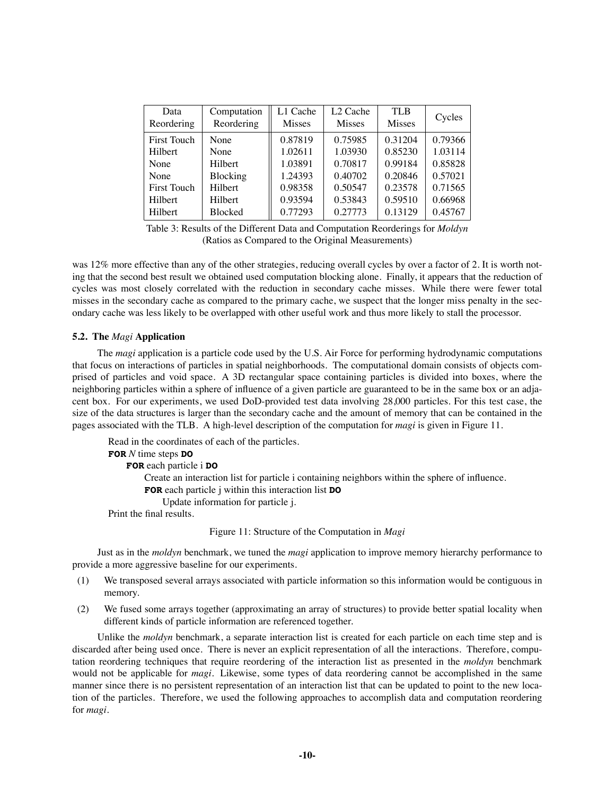| Data<br>Reordering | Computation<br>Reordering | L1 Cache<br><b>Misses</b> | L <sub>2</sub> Cache<br><b>Misses</b> | TLB<br><b>Misses</b> | Cycles  |
|--------------------|---------------------------|---------------------------|---------------------------------------|----------------------|---------|
| <b>First Touch</b> | None                      | 0.87819                   | 0.75985                               | 0.31204              | 0.79366 |
| Hilbert            | None                      | 1.02611                   | 1.03930                               | 0.85230              | 1.03114 |
| None               | Hilbert                   | 1.03891                   | 0.70817                               | 0.99184              | 0.85828 |
| None               | Blocking                  | 1.24393                   | 0.40702                               | 0.20846              | 0.57021 |
| <b>First Touch</b> | Hilbert                   | 0.98358                   | 0.50547                               | 0.23578              | 0.71565 |
| Hilbert            | Hilbert                   | 0.93594                   | 0.53843                               | 0.59510              | 0.66968 |
| Hilbert            | <b>Blocked</b>            | 0.77293                   | 0.27773                               | 0.13129              | 0.45767 |

Table 3: Results of the Different Data and Computation Reorderings for *Moldyn* (Ratios as Compared to the Original Measurements)

was 12% more effective than any of the other strategies, reducing overall cycles by over a factor of 2. It is worth noting that the second best result we obtained used computation blocking alone. Finally, it appears that the reduction of cycles was most closely correlated with the reduction in secondary cache misses. While there were fewer total misses in the secondary cache as compared to the primary cache, we suspect that the longer miss penalty in the secondary cache was less likely to be overlapped with other useful work and thus more likely to stall the processor.

# **5.2. The** *Magi* **Application**

The *magi* application is a particle code used by the U.S. Air Force for performing hydrodynamic computations that focus on interactions of particles in spatial neighborhoods. The computational domain consists of objects comprised of particles and void space. A 3D rectangular space containing particles is divided into boxes, where the neighboring particles within a sphere of influence of a given particle are guaranteed to be in the same box or an adjacent box. For our experiments, we used DoD-provided test data involving 28,000 particles. For this test case, the size of the data structures is larger than the secondary cache and the amount of memory that can be contained in the pages associated with the TLB. A high-level description of the computation for *magi* is given in Figure 11.

Read in the coordinates of each of the particles. **FOR** *N* time steps **DO FOR** each particle i **DO** Create an interaction list for particle i containing neighbors within the sphere of influence. **FOR** each particle j within this interaction list **DO** Update information for particle j. Print the final results.

Figure 11: Structure of the Computation in *Magi*

Just as in the *moldyn* benchmark, we tuned the *magi* application to improve memory hierarchy performance to provide a more aggressive baseline for our experiments.

- (1) We transposed several arrays associated with particle information so this information would be contiguous in memory.
- (2) We fused some arrays together (approximating an array of structures) to provide better spatial locality when different kinds of particle information are referenced together.

Unlike the *moldyn* benchmark, a separate interaction list is created for each particle on each time step and is discarded after being used once. There is never an explicit representation of all the interactions. Therefore, computation reordering techniques that require reordering of the interaction list as presented in the *moldyn* benchmark would not be applicable for *magi*. Likewise, some types of data reordering cannot be accomplished in the same manner since there is no persistent representation of an interaction list that can be updated to point to the new location of the particles. Therefore, we used the following approaches to accomplish data and computation reordering for *magi*.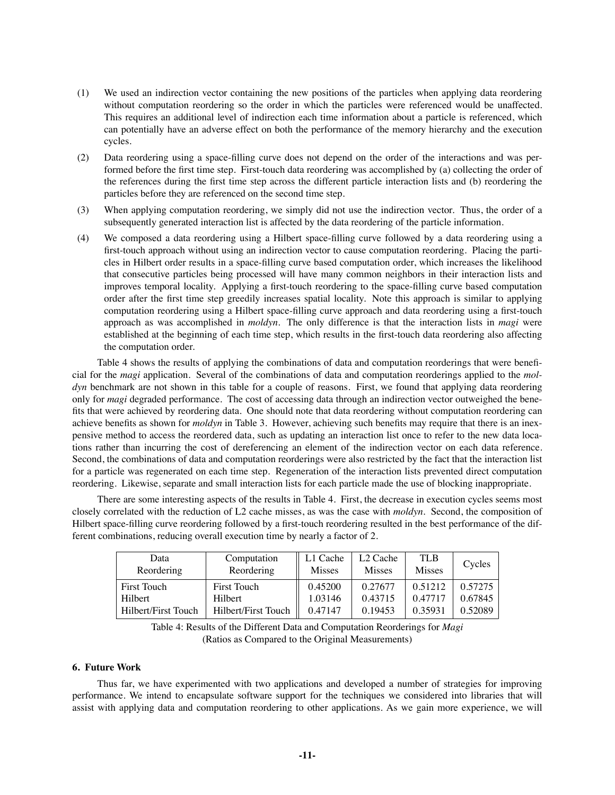- (1) We used an indirection vector containing the new positions of the particles when applying data reordering without computation reordering so the order in which the particles were referenced would be unaffected. This requires an additional level of indirection each time information about a particle is referenced, which can potentially have an adverse effect on both the performance of the memory hierarchy and the execution cycles.
- (2) Data reordering using a space-filling curve does not depend on the order of the interactions and was performed before the first time step. First-touch data reordering was accomplished by (a) collecting the order of the references during the first time step across the different particle interaction lists and (b) reordering the particles before they are referenced on the second time step.
- (3) When applying computation reordering, we simply did not use the indirection vector. Thus, the order of a subsequently generated interaction list is affected by the data reordering of the particle information.
- (4) We composed a data reordering using a Hilbert space-filling curve followed by a data reordering using a first-touch approach without using an indirection vector to cause computation reordering. Placing the particles in Hilbert order results in a space-filling curve based computation order, which increases the likelihood that consecutive particles being processed will have many common neighbors in their interaction lists and improves temporal locality. Applying a first-touch reordering to the space-filling curve based computation order after the first time step greedily increases spatial locality. Note this approach is similar to applying computation reordering using a Hilbert space-filling curve approach and data reordering using a first-touch approach as was accomplished in *moldyn*. The only difference is that the interaction lists in *magi* were established at the beginning of each time step, which results in the first-touch data reordering also affecting the computation order.

Table 4 shows the results of applying the combinations of data and computation reorderings that were beneficial for the *magi* application. Several of the combinations of data and computation reorderings applied to the *moldyn* benchmark are not shown in this table for a couple of reasons. First, we found that applying data reordering only for *magi* degraded performance. The cost of accessing data through an indirection vector outweighed the benefits that were achieved by reordering data. One should note that data reordering without computation reordering can achieve benefits as shown for *moldyn* in Table 3. However, achieving such benefits may require that there is an inexpensive method to access the reordered data, such as updating an interaction list once to refer to the new data locations rather than incurring the cost of dereferencing an element of the indirection vector on each data reference. Second, the combinations of data and computation reorderings were also restricted by the fact that the interaction list for a particle was regenerated on each time step. Regeneration of the interaction lists prevented direct computation reordering. Likewise, separate and small interaction lists for each particle made the use of blocking inappropriate.

There are some interesting aspects of the results in Table 4. First, the decrease in execution cycles seems most closely correlated with the reduction of L2 cache misses, as was the case with *moldyn*. Second, the composition of Hilbert space-filling curve reordering followed by a first-touch reordering resulted in the best performance of the different combinations, reducing overall execution time by nearly a factor of 2.

| Data<br>Reordering  | Computation<br>Reordering | $\parallel$ L1 Cache<br><b>Misses</b> | L <sub>2</sub> Cache<br><b>Misses</b> | <b>TLB</b><br><b>Misses</b> | Cycles  |
|---------------------|---------------------------|---------------------------------------|---------------------------------------|-----------------------------|---------|
| First Touch         | <b>First Touch</b>        | 0.45200                               | 0.27677                               | 0.51212                     | 0.57275 |
| Hilbert             | Hilbert                   | 1.03146                               | 0.43715                               | 0.47717                     | 0.67845 |
| Hilbert/First Touch | Hilbert/First Touch       | 0.47147                               | 0.19453                               | 0.35931                     | 0.52089 |

Table 4: Results of the Different Data and Computation Reorderings for *Magi* (Ratios as Compared to the Original Measurements)

### **6. Future Work**

Thus far, we have experimented with two applications and developed a number of strategies for improving performance. We intend to encapsulate software support for the techniques we considered into libraries that will assist with applying data and computation reordering to other applications. As we gain more experience, we will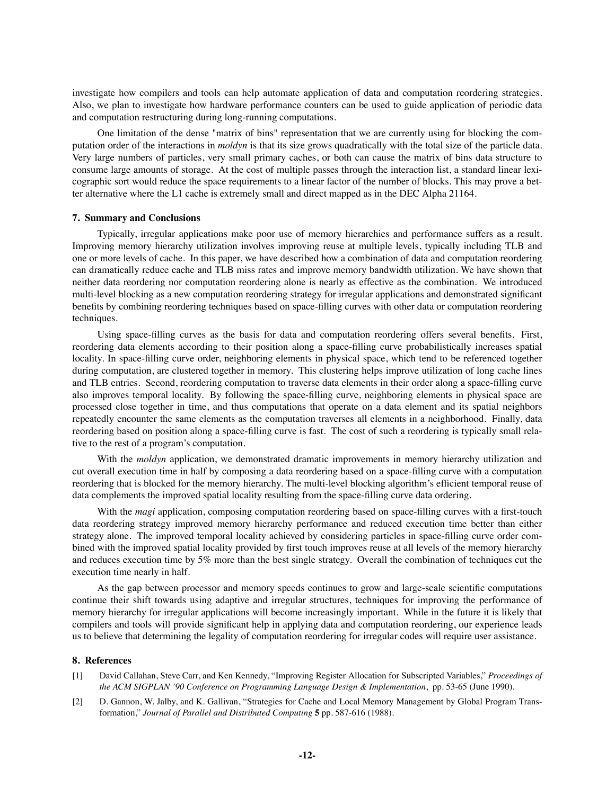investigate how compilers and tools can help automate application of data and computation reordering strategies. Also, we plan to investigate how hardware performance counters can be used to guide application of periodic data and computation restructuring during long-running computations.

One limitation of the dense "matrix of bins" representation that we are currently using for blocking the computation order of the interactions in *moldyn* is that its size grows quadratically with the total size of the particle data. Very large numbers of particles, very small primary caches, or both can cause the matrix of bins data structure to consume large amounts of storage. At the cost of multiple passes through the interaction list, a standard linear lexicographic sort would reduce the space requirements to a linear factor of the number of blocks. This may prove a better alternative where the L1 cache is extremely small and direct mapped as in the DEC Alpha 21164.

# **7. Summary and Conclusions**

Typically, irregular applications make poor use of memory hierarchies and performance suffers as a result. Improving memory hierarchy utilization involves improving reuse at multiple levels, typically including TLB and one or more levels of cache. In this paper, we have described how a combination of data and computation reordering can dramatically reduce cache and TLB miss rates and improve memory bandwidth utilization. We have shown that neither data reordering nor computation reordering alone is nearly as effective as the combination. We introduced multi-level blocking as a new computation reordering strategy for irregular applications and demonstrated significant benefits by combining reordering techniques based on space-filling curves with other data or computation reordering techniques.

Using space-filling curves as the basis for data and computation reordering offers several benefits. First, reordering data elements according to their position along a space-filling curve probabilistically increases spatial locality. In space-filling curve order, neighboring elements in physical space, which tend to be referenced together during computation, are clustered together in memory. This clustering helps improve utilization of long cache lines and TLB entries. Second, reordering computation to traverse data elements in their order along a space-filling curve also improves temporal locality. By following the space-filling curve, neighboring elements in physical space are processed close together in time, and thus computations that operate on a data element and its spatial neighbors repeatedly encounter the same elements as the computation traverses all elements in a neighborhood. Finally, data reordering based on position along a space-filling curve is fast. The cost of such a reordering is typically small relative to the rest of a program's computation.

With the *moldyn* application, we demonstrated dramatic improvements in memory hierarchy utilization and cut overall execution time in half by composing a data reordering based on a space-filling curve with a computation reordering that is blocked for the memory hierarchy. The multi-level blocking algorithm's efficient temporal reuse of data complements the improved spatial locality resulting from the space-filling curve data ordering.

With the *magi* application, composing computation reordering based on space-filling curves with a first-touch data reordering strategy improved memory hierarchy performance and reduced execution time better than either strategy alone. The improved temporal locality achieved by considering particles in space-filling curve order combined with the improved spatial locality provided by first touch improves reuse at all levels of the memory hierarchy and reduces execution time by 5% more than the best single strategy. Overall the combination of techniques cut the execution time nearly in half.

As the gap between processor and memory speeds continues to grow and large-scale scientific computations continue their shift towards using adaptive and irregular structures, techniques for improving the performance of memory hierarchy for irregular applications will become increasingly important. While in the future it is likely that compilers and tools will provide significant help in applying data and computation reordering, our experience leads us to believe that determining the legality of computation reordering for irregular codes will require user assistance.

### **8. References**

- [1] David Callahan, Steve Carr, and Ken Kennedy, "Improving Register Allocation for Subscripted Variables," *Proceedings of the ACM SIGPLAN '90 Conference on Programming Language Design & Implementation*, pp. 53-65 (June 1990).
- [2] D. Gannon, W. Jalby, and K. Gallivan, "Strategies for Cache and Local Memory Management by Global Program Transformation," *Journal of Parallel and Distributed Computing* **5** pp. 587-616 (1988).